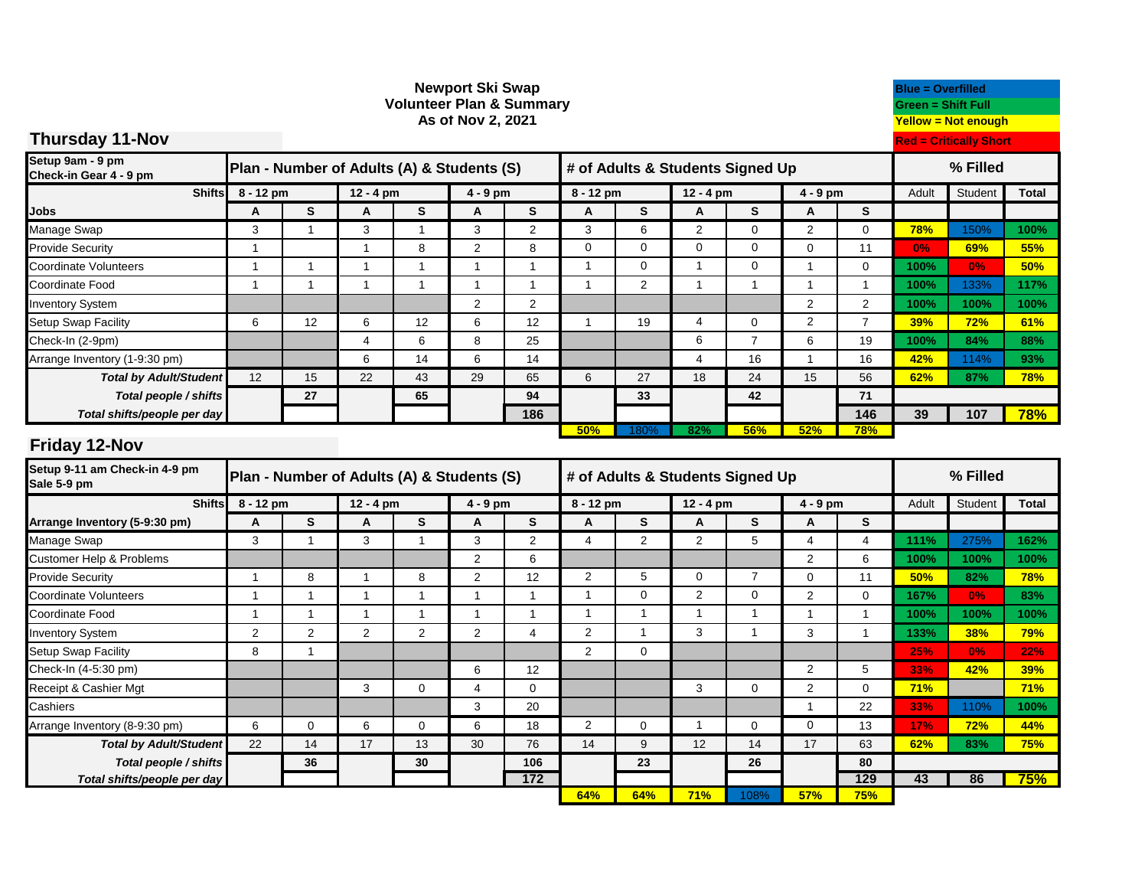| <b>Volunteer Plan &amp; Summary</b><br>As of Nov 2, 2021 |                                                                                |                                  |                |                |                     |                     |                                  |                                  |                                  |                             |                               | <b>Green = Shift Full</b><br><b>Yellow = Not enough</b> |                   |             |              |
|----------------------------------------------------------|--------------------------------------------------------------------------------|----------------------------------|----------------|----------------|---------------------|---------------------|----------------------------------|----------------------------------|----------------------------------|-----------------------------|-------------------------------|---------------------------------------------------------|-------------------|-------------|--------------|
| <b>Thursday 11-Nov</b>                                   |                                                                                |                                  |                |                |                     |                     |                                  |                                  |                                  |                             | <b>Red = Critically Short</b> |                                                         |                   |             |              |
|                                                          |                                                                                |                                  |                |                |                     |                     |                                  |                                  |                                  |                             |                               |                                                         |                   |             |              |
| Setup 9am - 9 pm<br>Check-in Gear 4 - 9 pm               | Plan - Number of Adults (A) & Students (S)<br># of Adults & Students Signed Up |                                  |                |                |                     |                     |                                  |                                  |                                  |                             |                               | % Filled                                                |                   |             |              |
| <b>Shifts</b>                                            | 8 - 12 pm                                                                      |                                  | $12 - 4$ pm    |                | 4 - 9 pm            |                     | 8 - 12 pm                        |                                  | $12 - 4$ pm                      |                             | $4 - 9$ pm                    |                                                         | Adult             | Student     | <b>Total</b> |
| <b>Jobs</b>                                              | A                                                                              | S                                | A              | S              | A                   | S                   | Α                                | S                                | A                                | S                           | A                             | S                                                       |                   |             |              |
| Manage Swap                                              | 3                                                                              | $\overline{1}$                   | 3              | $\mathbf{1}$   | 3                   | $\overline{2}$      | 3                                | 6                                | $\overline{2}$                   | $\mathbf 0$                 | $\overline{2}$                | $\mathbf 0$                                             | 78%               | 150%        | 100%         |
| <b>Provide Security</b>                                  | $\overline{1}$                                                                 |                                  | $\overline{1}$ | 8              | $\overline{2}$      | 8                   | $\overline{0}$                   | $\overline{0}$                   | $\overline{0}$                   | $\overline{0}$              | $\overline{0}$                | 11                                                      | 0%                | 69%         | 55%          |
| Coordinate Volunteers                                    | $\mathbf{1}$                                                                   | $\overline{1}$                   | $\mathbf{1}$   | $\overline{1}$ | $\overline{1}$      | $\overline{1}$      | $\overline{1}$                   | $\mathbf 0$                      | $\mathbf{1}$                     | $\mathbf 0$                 | $\mathbf{1}$                  | $\pmb{0}$                                               | 100%              | 0%          | 50%          |
| Coordinate Food                                          | $\overline{1}$                                                                 | $\overline{1}$                   | $\mathbf{1}$   | $\overline{1}$ | $\mathbf{1}$        | $\mathbf{1}$        | $\mathbf{1}$                     | 2                                | $\mathbf{1}$                     | $\overline{1}$              | $\mathbf{1}$                  | $\mathbf{1}$                                            | 100%              | 133%        | 117%         |
| <b>Inventory System</b>                                  |                                                                                |                                  |                |                | $\overline{2}$      | $\overline{2}$      |                                  |                                  |                                  |                             | $\overline{2}$                | $\overline{2}$                                          | 100%              | 100%        | 100%         |
| Setup Swap Facility                                      | 6                                                                              | 12                               | 6              | 12             | 6                   | 12                  | $\mathbf{1}$                     | 19                               | 4                                | $\mathbf 0$                 | $\overline{2}$                | $\overline{7}$                                          | 39%               | 72%         | 61%          |
| Check-In (2-9pm)                                         |                                                                                |                                  | $\overline{4}$ | 6              | 8                   | 25                  |                                  |                                  | 6                                | $\overline{7}$              | 6                             | 19                                                      | 100%              | 84%         | 88%          |
| Arrange Inventory (1-9:30 pm)                            |                                                                                |                                  | 6              | 14             | 6                   | 14                  |                                  |                                  | $\overline{4}$                   | 16                          | $\mathbf{1}$                  | 16                                                      | 42%               | 114%        | 93%          |
| <b>Total by Adult/Student</b>                            | 12                                                                             | 15                               | 22             | 43             | 29                  | 65                  | 6                                | 27                               | 18                               | 24                          | 15                            | 56                                                      | 62%               | 87%         | 78%          |
| Total people / shifts                                    |                                                                                | 27                               |                | 65             |                     | 94                  |                                  | 33                               |                                  | 42                          |                               | 71                                                      |                   |             |              |
| Total shifts/people per day                              |                                                                                |                                  |                |                |                     | 186                 |                                  |                                  |                                  |                             |                               | 146                                                     | 39                | 107         | 78%          |
| <b>Friday 12-Nov</b>                                     |                                                                                |                                  |                |                |                     |                     | 50%                              | 180 <sub>9</sub>                 | 82%                              | 56%                         | 52%                           | <b>78%</b>                                              |                   |             |              |
| Setup 9-11 am Check-in 4-9 pm<br>Sale 5-9 pm             | Plan - Number of Adults (A) & Students (S)                                     |                                  |                |                |                     |                     |                                  | # of Adults & Students Signed Up |                                  |                             |                               | % Filled                                                |                   |             |              |
|                                                          |                                                                                |                                  |                |                |                     |                     |                                  |                                  |                                  |                             |                               |                                                         |                   |             |              |
|                                                          |                                                                                |                                  |                |                |                     |                     |                                  |                                  |                                  |                             |                               |                                                         |                   |             |              |
| <b>Shifts</b>                                            | 8 - 12 pm                                                                      |                                  | $12 - 4$ pm    |                | $4 - 9$ pm          |                     | 8 - 12 pm                        |                                  | $12 - 4$ pm                      |                             | $4 - 9$ pm                    |                                                         | Adult             | Student     | <b>Total</b> |
| Arrange Inventory (5-9:30 pm)                            | A                                                                              | $\mathbf{s}$                     | A              | $\mathbf{s}$   | A                   | $\mathbf{s}$        | A                                | S                                | A                                | S                           | A                             | $\mathbf{s}$                                            |                   |             |              |
| Manage Swap                                              | 3                                                                              | $\overline{1}$                   | 3              | $\mathbf{1}$   | 3                   | $\overline{2}$      | 4                                | 2                                | 2                                | 5                           | 4                             | $\overline{4}$                                          | 111%              | 275%        | 162%         |
| <b>Customer Help &amp; Problems</b>                      |                                                                                |                                  |                |                | $\overline{c}$      | 6                   |                                  |                                  |                                  |                             | $\overline{c}$                | 6                                                       | 100%              | 100%        | 100%         |
| <b>Provide Security</b>                                  | $\mathbf{1}$                                                                   | 8                                | $\mathbf{1}$   | 8              | $\overline{c}$      | 12                  | $\overline{2}$                   | 5                                | $\mathbf 0$                      | $\overline{7}$              | $\mathbf 0$                   | 11                                                      | 50%               | 82%         | 78%          |
| Coordinate Volunteers                                    | $\mathbf{1}$                                                                   | $\overline{1}$                   | $\mathbf{1}$   | $\overline{1}$ | $\overline{1}$      | $\overline{1}$      | $\overline{1}$<br>$\overline{1}$ | $\mathbf 0$<br>$\mathbf{1}$      | $\overline{c}$<br>$\overline{1}$ | $\mathbf 0$<br>$\mathbf{1}$ | $\mathbf 2$                   | $\pmb{0}$                                               | 167%              | 0%          | 83%          |
| Coordinate Food                                          | $\mathbf{1}$                                                                   | $\overline{1}$                   | $\mathbf{1}$   | $\mathbf{1}$   | $\overline{1}$      | $\overline{1}$<br>4 |                                  | $\mathbf{1}$                     | 3                                | $\overline{1}$              | $\mathbf{1}$                  | $\mathbf{1}$<br>$\mathbf{1}$                            | 100%              | 100%        | 100%         |
| <b>Inventory System</b>                                  | $\overline{2}$                                                                 | $\overline{c}$<br>$\overline{1}$ | $\overline{2}$ | $\overline{2}$ | $\overline{2}$      |                     | $\overline{c}$                   |                                  |                                  |                             | 3                             |                                                         | 133%              | <b>38%</b>  | 79%          |
| Setup Swap Facility                                      | 8                                                                              |                                  |                |                |                     |                     | $\overline{2}$                   | $\mathbf 0$                      |                                  |                             |                               |                                                         | 25%               | 0%          | 22%          |
| Check-In (4-5:30 pm)                                     |                                                                                |                                  | 3              | $\mathbf 0$    | 6<br>$\overline{4}$ | 12<br>$\mathbf 0$   |                                  |                                  | 3                                | $\mathbf 0$                 | $\overline{c}$                | 5<br>$\pmb{0}$                                          | 33%<br>71%        | 42%         | 39%          |
| Receipt & Cashier Mgt                                    |                                                                                |                                  |                |                | 3                   | 20                  |                                  |                                  |                                  |                             | $\sqrt{2}$<br>$\mathbf{1}$    | 22                                                      |                   |             | 71%<br>100%  |
|                                                          | 6                                                                              | $\mathbf 0$                      | 6              | $\mathbf 0$    | 6                   |                     | $\overline{2}$                   | 0                                | $\mathbf{1}$                     | $\mathbf 0$                 | $\mathbf 0$                   |                                                         | 33%               | 110%<br>72% | 44%          |
| Cashiers<br>Arrange Inventory (8-9:30 pm)                | 22                                                                             | 14                               | 17             | 13             | 30                  | 18<br>76            | 14                               | 9                                | 12                               | 14                          | 17                            | 13<br>63                                                | <b>17%</b><br>62% | 83%         |              |
| <b>Total by Adult/Student</b>                            |                                                                                | 36                               |                | 30             |                     | 106                 |                                  | 23                               |                                  | 26                          |                               | 80                                                      |                   |             | 75%          |
| Total people / shifts<br>Total shifts/people per day     |                                                                                |                                  |                |                |                     | $172$               |                                  |                                  |                                  |                             |                               | 129                                                     | 43                | 86          | 75%          |

**Newport Ski Swap Blue = Overfilled**